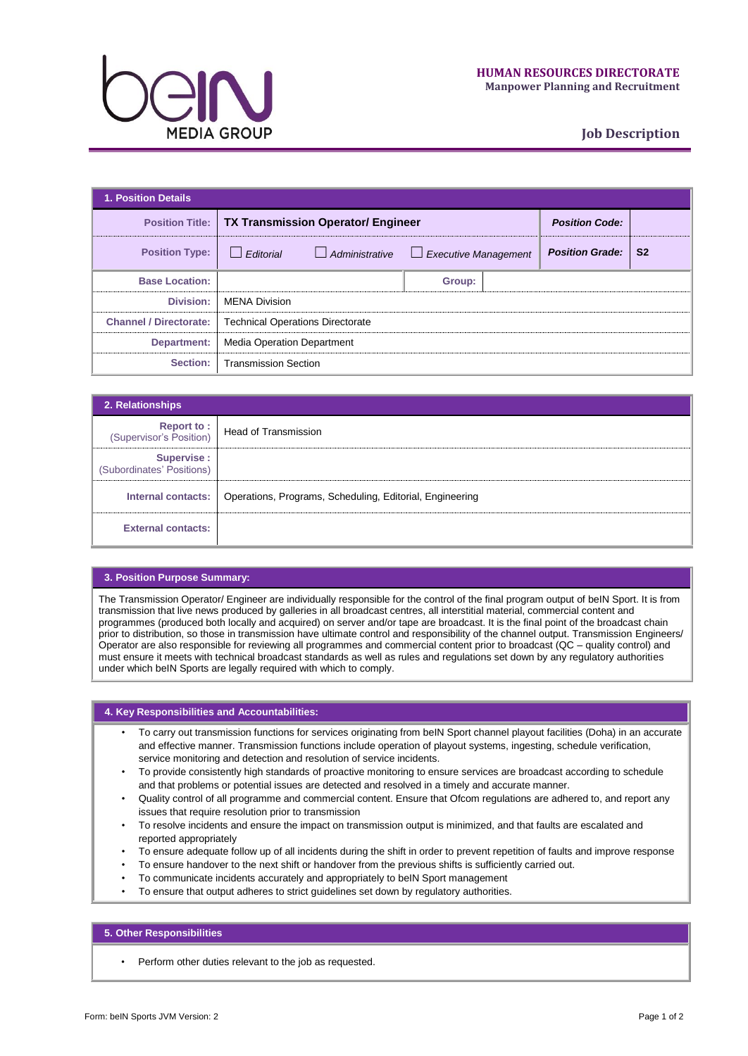

# **Job Description**

| <b>1. Position Details</b>    |                                                             |                       |                             |                       |                        |                |  |
|-------------------------------|-------------------------------------------------------------|-----------------------|-----------------------------|-----------------------|------------------------|----------------|--|
|                               | <b>Position Title:   TX Transmission Operator/ Engineer</b> |                       |                             | <b>Position Code:</b> |                        |                |  |
| <b>Position Type:</b>         | Editorial                                                   | $\Box$ Administrative | $\Box$ Executive Management |                       | <b>Position Grade:</b> | S <sub>2</sub> |  |
| <b>Base Location:</b>         |                                                             |                       | Group:                      |                       |                        |                |  |
| Division:                     | <b>MENA Division</b>                                        |                       |                             |                       |                        |                |  |
| <b>Channel / Directorate:</b> | <b>Technical Operations Directorate</b>                     |                       |                             |                       |                        |                |  |
| Department:                   | <b>Media Operation Department</b>                           |                       |                             |                       |                        |                |  |
| Section:                      | <b>Transmission Section</b>                                 |                       |                             |                       |                        |                |  |

| 2. Relationships                             |                                                                               |
|----------------------------------------------|-------------------------------------------------------------------------------|
| <b>Report to:</b><br>(Supervisor's Position) | <b>Head of Transmission</b>                                                   |
| Supervise :<br>(Subordinates' Positions)     |                                                                               |
|                                              | Internal contacts:   Operations, Programs, Scheduling, Editorial, Engineering |
| <b>External contacts:</b>                    |                                                                               |

# **3. Position Purpose Summary:**

The Transmission Operator/ Engineer are individually responsible for the control of the final program output of beIN Sport. It is from transmission that live news produced by galleries in all broadcast centres, all interstitial material, commercial content and programmes (produced both locally and acquired) on server and/or tape are broadcast. It is the final point of the broadcast chain prior to distribution, so those in transmission have ultimate control and responsibility of the channel output. Transmission Engineers/ Operator are also responsible for reviewing all programmes and commercial content prior to broadcast (QC – quality control) and must ensure it meets with technical broadcast standards as well as rules and regulations set down by any regulatory authorities under which beIN Sports are legally required with which to comply.

## **4. Key Responsibilities and Accountabilities:**

- To carry out transmission functions for services originating from beIN Sport channel playout facilities (Doha) in an accurate and effective manner. Transmission functions include operation of playout systems, ingesting, schedule verification, service monitoring and detection and resolution of service incidents.
- To provide consistently high standards of proactive monitoring to ensure services are broadcast according to schedule and that problems or potential issues are detected and resolved in a timely and accurate manner.
- Quality control of all programme and commercial content. Ensure that Ofcom regulations are adhered to, and report any issues that require resolution prior to transmission
- To resolve incidents and ensure the impact on transmission output is minimized, and that faults are escalated and reported appropriately
- To ensure adequate follow up of all incidents during the shift in order to prevent repetition of faults and improve response
- To ensure handover to the next shift or handover from the previous shifts is sufficiently carried out.
- To communicate incidents accurately and appropriately to beIN Sport management
- To ensure that output adheres to strict guidelines set down by regulatory authorities.

### **5. Other Responsibilities**

• Perform other duties relevant to the job as requested.